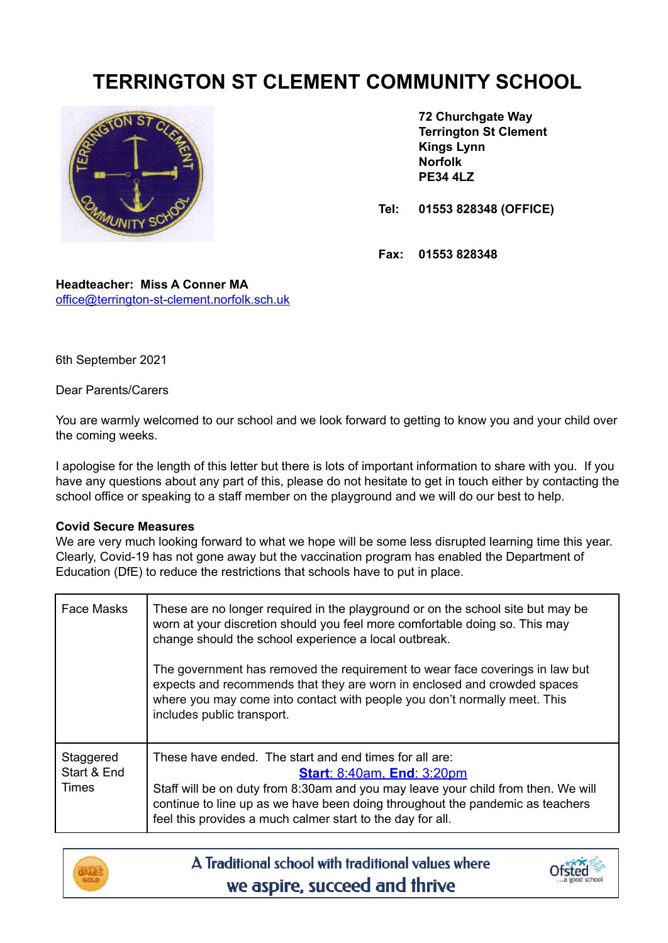# **TERRINGTON ST CLEMENT COMMUNITY SCHOOL**



**72 Churchgate Way Terrington St Clement Kings Lynn Norfolk PE34 4LZ**

**Tel: 01553 828348 (OFFICE)**

**Fax: 01553 828348**

**Headteacher: Miss A Conner MA** [office@terrington-st-clement.norfolk.sch.uk](mailto:office@terrington-st-clement.norfolk.sch.uk)

6th September 2021

Dear Parents/Carers

You are warmly welcomed to our school and we look forward to getting to know you and your child over the coming weeks.

I apologise for the length of this letter but there is lots of important information to share with you. If you have any questions about any part of this, please do not hesitate to get in touch either by contacting the school office or speaking to a staff member on the playground and we will do our best to help.

### **Covid Secure Measures**

We are very much looking forward to what we hope will be some less disrupted learning time this year. Clearly, Covid-19 has not gone away but the vaccination program has enabled the Department of Education (DfE) to reduce the restrictions that schools have to put in place.

| <b>Face Masks</b>                 | These are no longer required in the playground or on the school site but may be<br>worn at your discretion should you feel more comfortable doing so. This may<br>change should the school experience a local outbreak.<br>The government has removed the requirement to wear face coverings in law but<br>expects and recommends that they are worn in enclosed and crowded spaces<br>where you may come into contact with people you don't normally meet. This<br>includes public transport. |
|-----------------------------------|------------------------------------------------------------------------------------------------------------------------------------------------------------------------------------------------------------------------------------------------------------------------------------------------------------------------------------------------------------------------------------------------------------------------------------------------------------------------------------------------|
| Staggered<br>Start & End<br>Times | These have ended. The start and end times for all are:<br><b>Start: 8:40am, End: 3:20pm</b><br>Staff will be on duty from 8:30am and you may leave your child from then. We will<br>continue to line up as we have been doing throughout the pandemic as teachers<br>feel this provides a much calmer start to the day for all.                                                                                                                                                                |



A Traditional school with traditional values where we aspire, succeed and thrive

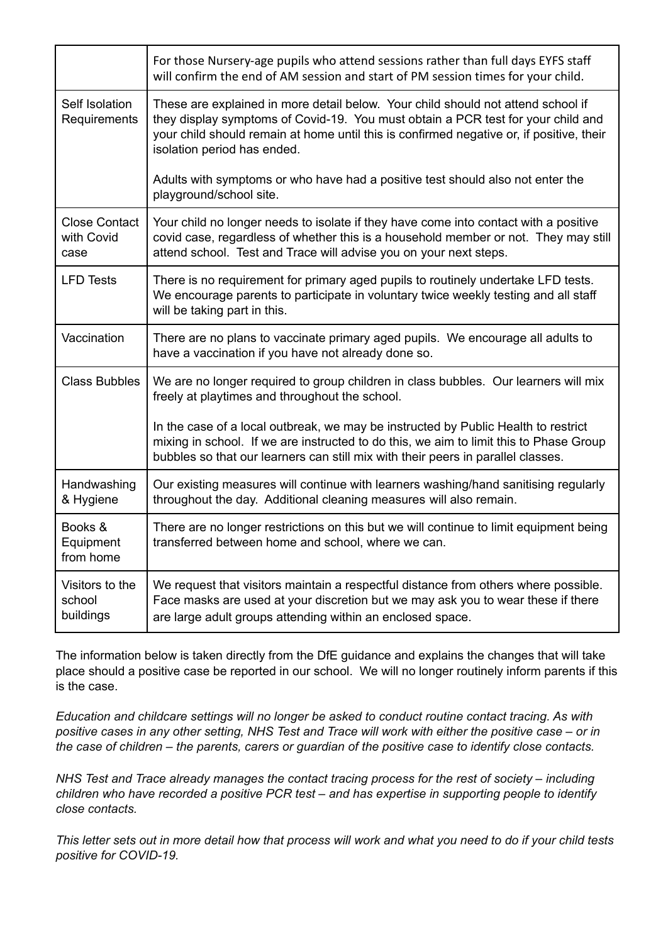|                                            | For those Nursery-age pupils who attend sessions rather than full days EYFS staff<br>will confirm the end of AM session and start of PM session times for your child.                                                                                                                           |
|--------------------------------------------|-------------------------------------------------------------------------------------------------------------------------------------------------------------------------------------------------------------------------------------------------------------------------------------------------|
| Self Isolation<br>Requirements             | These are explained in more detail below. Your child should not attend school if<br>they display symptoms of Covid-19. You must obtain a PCR test for your child and<br>your child should remain at home until this is confirmed negative or, if positive, their<br>isolation period has ended. |
|                                            | Adults with symptoms or who have had a positive test should also not enter the<br>playground/school site.                                                                                                                                                                                       |
| <b>Close Contact</b><br>with Covid<br>case | Your child no longer needs to isolate if they have come into contact with a positive<br>covid case, regardless of whether this is a household member or not. They may still<br>attend school. Test and Trace will advise you on your next steps.                                                |
| <b>LFD Tests</b>                           | There is no requirement for primary aged pupils to routinely undertake LFD tests.<br>We encourage parents to participate in voluntary twice weekly testing and all staff<br>will be taking part in this.                                                                                        |
| Vaccination                                | There are no plans to vaccinate primary aged pupils. We encourage all adults to<br>have a vaccination if you have not already done so.                                                                                                                                                          |
| <b>Class Bubbles</b>                       | We are no longer required to group children in class bubbles. Our learners will mix<br>freely at playtimes and throughout the school.                                                                                                                                                           |
|                                            | In the case of a local outbreak, we may be instructed by Public Health to restrict<br>mixing in school. If we are instructed to do this, we aim to limit this to Phase Group<br>bubbles so that our learners can still mix with their peers in parallel classes.                                |
| Handwashing<br>& Hygiene                   | Our existing measures will continue with learners washing/hand sanitising regularly<br>throughout the day. Additional cleaning measures will also remain.                                                                                                                                       |
| Books &<br>Equipment<br>from home          | There are no longer restrictions on this but we will continue to limit equipment being<br>transferred between home and school, where we can.                                                                                                                                                    |
| Visitors to the<br>school<br>buildings     | We request that visitors maintain a respectful distance from others where possible.<br>Face masks are used at your discretion but we may ask you to wear these if there<br>are large adult groups attending within an enclosed space.                                                           |

The information below is taken directly from the DfE guidance and explains the changes that will take place should a positive case be reported in our school. We will no longer routinely inform parents if this is the case.

*Education and childcare settings will no longer be asked to conduct routine contact tracing. As with* positive cases in any other setting. NHS Test and Trace will work with either the positive case – or in the case of children – the parents, carers or guardian of the positive case to identify close contacts.

*NHS Test and Trace already manages the contact tracing process for the rest of society – including children who have recorded a positive PCR test – and has expertise in supporting people to identify close contacts.*

This letter sets out in more detail how that process will work and what you need to do if your child tests *positive for COVID-19.*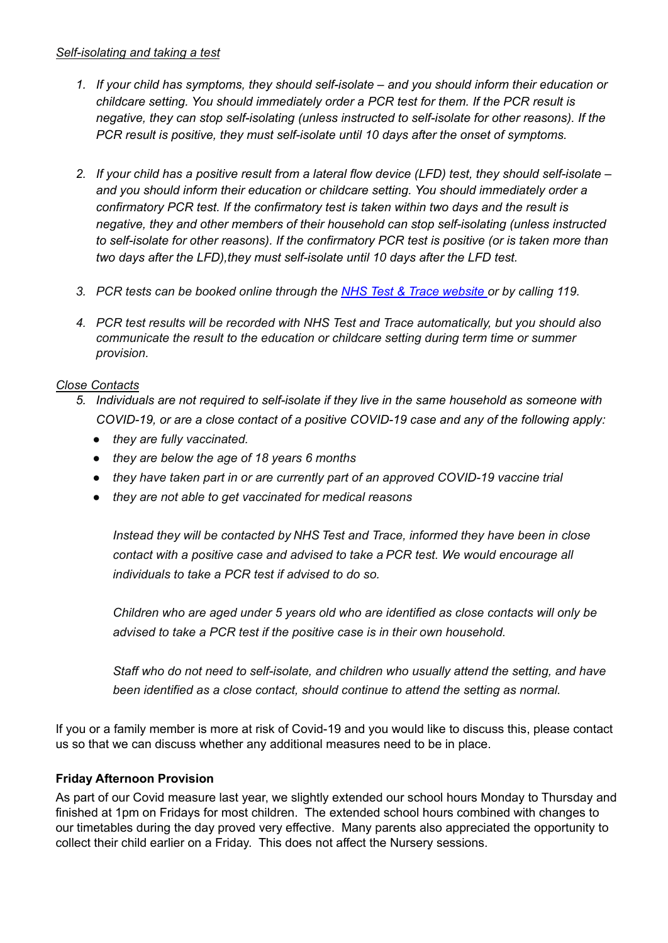## *Self-isolating and taking a test*

- *1. If your child has symptoms, they should self-isolate – and you should inform their education or childcare setting. You should immediately order a PCR test for them. If the PCR result is negative, they can stop self-isolating (unless instructed to self-isolate for other reasons). If the PCR result is positive, they must self-isolate until 10 days after the onset of symptoms.*
- 2. If your child has a positive result from a lateral flow device (LFD) test, they should self-isolate *and you should inform their education or childcare setting. You should immediately order a confirmatory PCR test. If the confirmatory test is taken within two days and the result is negative, they and other members of their household can stop self-isolating (unless instructed to self-isolate for other reasons). If the confirmatory PCR test is positive (or is taken more than two days after the LFD),they must self-isolate until 10 days after the LFD test.*
- *3. PCR tests can be booked online through the NHS Test & Trace [website](https://www.nhs.uk/conditions/coronavirus-covid-19/testing/) or by calling 119.*
- *4. PCR test results will be recorded with NHS Test and Trace automatically, but you should also communicate the result to the education or childcare setting during term time or summer provision.*

## *Close Contacts*

- *5. Individuals are not required to self-isolate if they live in the same household as someone with COVID-19, or are a close contact of a positive COVID-19 case and any of the following apply:*
	- *● they are fully vaccinated.*
	- *● they are below the age of 18 years 6 months*
	- *● they have taken part in or are currently part of an approved COVID-19 vaccine trial*
	- *● they are not able to get vaccinated for medical reasons*

*Instead they will be contacted by NHS Test and Trace, informed they have been in close contact with a positive case and advised to take a PCR test. We would encourage all individuals to take a PCR test if advised to do so.*

*Children who are aged under 5 years old who are identified as close contacts will only be advised to take a PCR test if the positive case is in their own household.*

*Staff who do not need to self-isolate, and children who usually attend the setting, and have been identified as a close contact, should continue to attend the setting as normal.*

If you or a family member is more at risk of Covid-19 and you would like to discuss this, please contact us so that we can discuss whether any additional measures need to be in place.

### **Friday Afternoon Provision**

As part of our Covid measure last year, we slightly extended our school hours Monday to Thursday and finished at 1pm on Fridays for most children. The extended school hours combined with changes to our timetables during the day proved very effective. Many parents also appreciated the opportunity to collect their child earlier on a Friday. This does not affect the Nursery sessions.